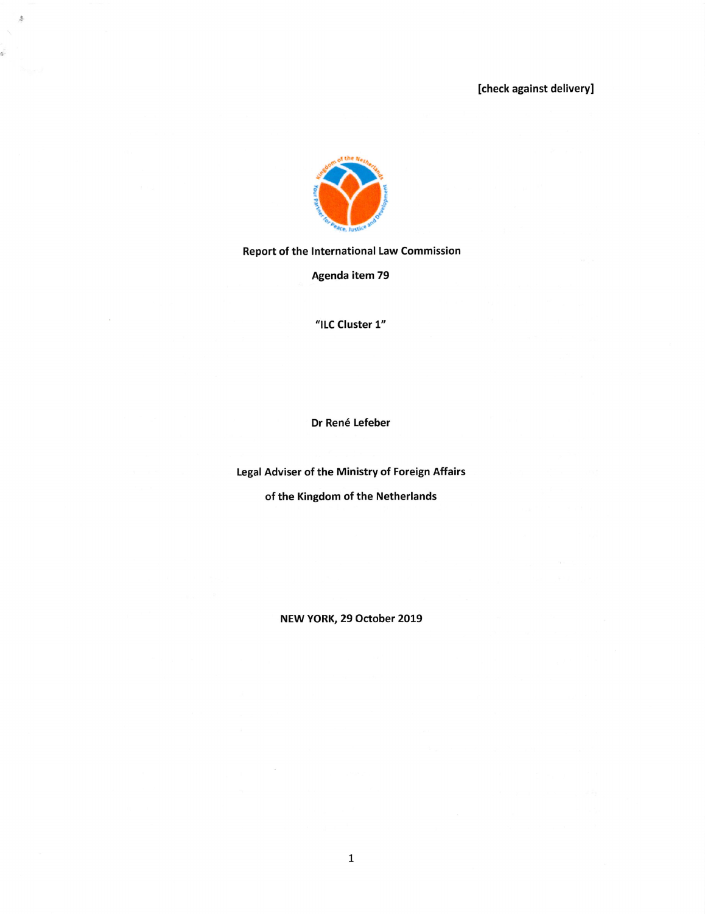

 $\hat{S}$ 

è

Report of the International Law Commission

Agenda item 79

"ILC Cluster 1"

Dr René Lefeber

Legal Adviser of the Ministry of Foreign Affairs

of the Kingdom of the Netherlands

NEW YORK, 29 October 2019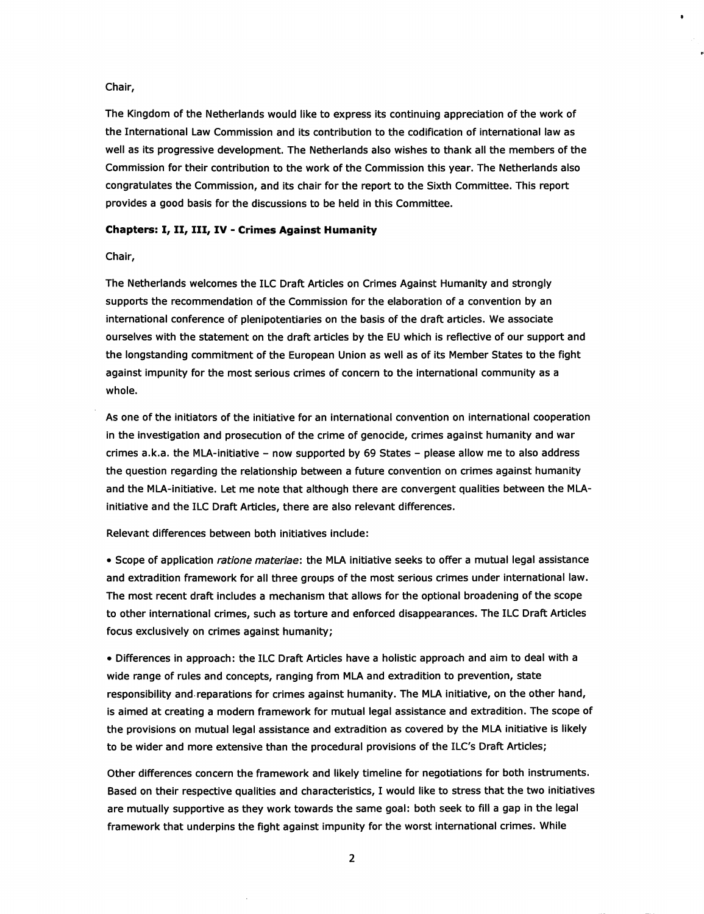## Chair,

The Kingdom of the Netheriands wouid iike to express its continuing appreciation of the work of the Internationai Law Commission and its contribution to the codification of international law as well as its progressive development. The Netheriands also wishes to thank all the members of the Commission for their contribution to the work of the Commission this year. The Netherlands also congratulates the Commission, and its chair for the report to the Sixth Committee. This report provides a good basis for the discussions to be held in this Committee.

# Chapters: I, II, III, IV - Crimes Against Humanity

## Chair,

The Netheriands welcomes the ILC Draft Articles on Crimes Against Humanity and strongly supports the recommendation of the Commission for the elaboration of a convention by an international conference of plenipotentiaries on the basis of the draft articles. We associate ourselves with the statement on the draft articles by the EU which is reflective of our support and the longstanding commitment of the European Union as well as of its Member States to the fight against impunity for the most serious crimes of concern to the internationai community as a whole.

As one of the initiators of the initiative for an international convention on internationai cooperation in the investigation and prosecution of the crime of genocide, crimes against humanity and war crimes a.k.a. the MLA-initiative - now supported by 69 States - please allow me to also address the question regarding the relationship between a future convention on crimes against humanity and the MLA-initiative. Let me note that although there are convergent qualities between the MLAinitiative and the ILC Draft Articles, there are also relevant differences.

#### Relevant differences between both initiatives include:

• Scope of application ratione materiae: the MLA initiative seeks to offer a mutual legal assistance and extradition framework for ail three groups of the most serious crimes under internationai law. The most recent draft includes a mechanism that allows for the optional broadening of the scope to other international crimes, such as torture and enforced disappearances. The ILC Draft Articles focus exclusively on crimes against humanity;

• Differences in approach: the ILC Draft Articles have a holistic approach and aim to deal with a wide range of rules and concepts, ranging from MLA and extradition to prevention, state responsibility and reparations for crimes against humanity. The MLA initiative, on the other hand, is aimed at creating a modern framework for mutual legal assistance and extradition. The scope of the provisions on mutual legal assistance and extradition as covered by the MLA initiative is likely to be wider and more extensive than the procedural provisions of the ILC's Draft Articles;

Other differences concern the framework and likely timeline for negotiations for both instruments. Based on their respective qualities and characteristics, I wouid like to stress that the two initiatives are mutually supportive as they work towards the same goal: both seek to fill a gap in the legal framework that underpins the fight against impunity for the worst international crimes. While

 $\overline{2}$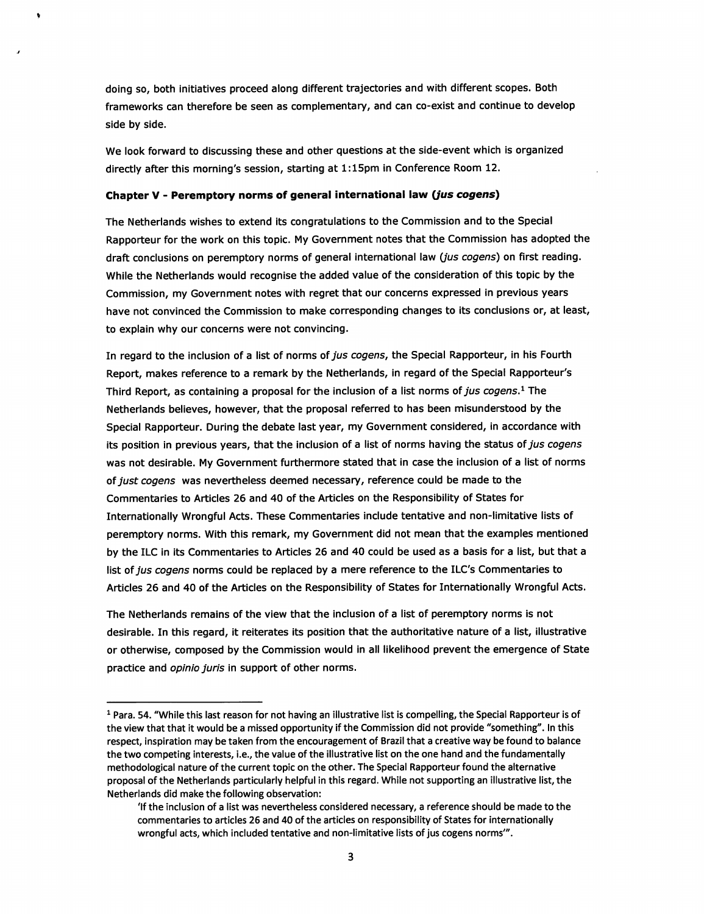doing so, both initiatives proceed along different trajectories and with different scopes. Both frameworks can therefore be seen as complementary, and can co-exist and continue to develop side by side.

We look forward to discussing these and other questions at the side-event which is organized directly after this morning's session, starting at 1:15pm in Conference Room 12.

### Chapter V - Peremptory norms of general international law (jus cogens)

The Netherlands wishes to extend its congratulations to the Commission and to the Special Rapporteur for the work on this topic. My Government notes that the Commission has adopted the draft conclusions on peremptory norms of general international law (jus cogens) on first reading. While the Netherlands would recognise the added value of the consideration of this topic by the Commission, my Government notes with regret that our concerns expressed in previous years have not convinced the Commission to make corresponding changes to its conclusions or, at least, to explain why our concerns were not convincing.

In regard to the inclusion of a list of norms of jus cogens, the Special Rapporteur, in his Fourth Report, makes reference to a remark by the Netherlands, in regard of the Special Rapporteur's Third Report, as containing a proposal for the inclusion of a list norms of jus cogens.<sup>1</sup> The Netherlands believes, however, that the proposal referred to has been misunderstood by the Special Rapporteur. During the debate last year, my Government considered, in accordance with its position in previous years, that the inclusion of a list of norms having the status of jus cogens was not desirable. My Government furthermore stated that in case the inclusion of a list of norms of just cogens was nevertheless deemed necessary, reference could be made to the Commentaries to Articles 26 and 40 of the Articles on the Responsibility of States for Internationally Wrongful Acts. These Commentaries include tentative and non-limitative lists of peremptory norms. With this remark, my Government did not mean that the examples mentioned by the ILC in its Commentaries to Articles 26 and 40 could be used as a basis for a list, but that a list of jus cogens norms could be replaced by a mere reference to the ILC's Commentaries to Articles 26 and 40 of the Articles on the Responsibility of States for Internationally Wrongful Acts.

The Netherlands remains of the view that the inclusion of a list of peremptory norms is not desirable. In this regard, it reiterates its position that the authoritative nature of a list, illustrative or otherwise, composed by the Commission would in all likelihood prevent the emergence of State practice and opinio juris in support of other norms.

 $1$  Para. 54. "While this last reason for not having an illustrative list is compelling, the Special Rapporteur is of the view that that it would be a missed opportunity if the Commission did not provide "something", in this respect, inspiration may be taken from the encouragement of Brazil that a creative way be found to balance the two competing interests, i.e., the value of the illustrative list on the one hand and the fundamentally methodological nature of the current topic on the other. The Special Rapporteur found the alternative proposal of the Netherlands particularly helpful in this regard. While not supporting an illustrative list, the Netherlands did make the following observation:

<sup>&#</sup>x27;if the inclusion of a list was nevertheless considered necessary, a reference should be made to the commentaries to articles 26 and 40 of the articles on responsibility of States for internationally wrongful acts, which included tentative and non-limitative lists of jus cogens norms'".